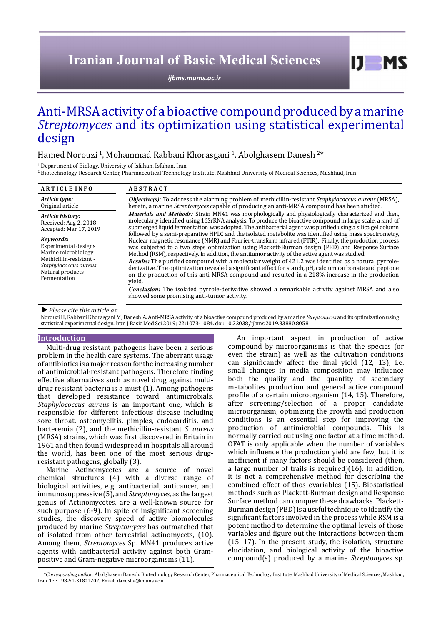# **Iranian Journal of Basic Medical Sciences**

*[ijbms.mums.ac.ir](http://ijbms.mums.ac.ir)*

## Anti-MRSA activity of a bioactive compound produced by a marine *Streptomyces* and its optimization using statistical experimental design

## Hamed Norouzi<sup>-1</sup>, Mohammad Rabbani Khorasgani<sup>-1</sup>, Abolghasem Danesh<sup>-2\*</sup>

 $\frac{1}{2}$  Department of Biology, University of Isfahan, Isfahan, Iran

2 Biotechnology Research Center, Pharmaceutical Technology Institute, Mashhad University of Medical Sciences, Mashhad, Iran

| <b>ARTICLE INFO</b>                                                                                                                              | <b>ABSTRACT</b>                                                                                                                                                                                                                                                                                                                                                                                                                                                                                                                                                                                                                                                                                                                                                                                                |
|--------------------------------------------------------------------------------------------------------------------------------------------------|----------------------------------------------------------------------------------------------------------------------------------------------------------------------------------------------------------------------------------------------------------------------------------------------------------------------------------------------------------------------------------------------------------------------------------------------------------------------------------------------------------------------------------------------------------------------------------------------------------------------------------------------------------------------------------------------------------------------------------------------------------------------------------------------------------------|
| Article type:<br>Original article                                                                                                                | <b>Objective(s)</b> : To address the alarming problem of methicillin-resistant <i>Staphylococcus aureus</i> (MRSA),<br>herein, a marine Streptomyces capable of producing an anti-MRSA compound has been studied.                                                                                                                                                                                                                                                                                                                                                                                                                                                                                                                                                                                              |
| Article history:<br>Received: Aug 2, 2018<br>Accepted: Mar 17, 2019                                                                              | <b>Materials and Methods:</b> Strain MN41 was morphologically and physiologically characterized and then,<br>molecularly identified using 16SrRNA analysis. To produce the bioactive compound in large scale, a kind of<br>submerged liquid fermentation was adopted. The antibacterial agent was purified using a silica gel column<br>followed by a semi-preparative HPLC and the isolated metabolite was identified using mass spectrometry,                                                                                                                                                                                                                                                                                                                                                                |
| Kevwords:<br>Experimental designs<br>Marine microbiology<br>Methicillin-resistant -<br>Staphylococcus aureus<br>Natural products<br>Fermentation | Nuclear magnetic resonance (NMR) and Fourier-transform infrared (FTIR). Finally, the production process<br>was subjected to a two steps optimization using Plackett-Burman design (PBD) and Response Surface<br>Method (RSM), respectively. In addition, the antitumor activity of the active agent was studied.<br><b>Results:</b> The purified compound with a molecular weight of 421.2 was identified as a natural pyrrole-<br>derivative. The optimization revealed a significant effect for starch, pH, calcium carbonate and peptone<br>on the production of this anti-MRSA compound and resulted in a 218% increase in the production<br>yield.<br><b>Conclusion:</b> The isolated pyrrole-derivative showed a remarkable activity against MRSA and also<br>showed some promising anti-tumor activity. |
| $\blacktriangleright$ Please cite this article as:                                                                                               |                                                                                                                                                                                                                                                                                                                                                                                                                                                                                                                                                                                                                                                                                                                                                                                                                |

Norouzi H, Rabbani Khorasgani M, Danesh A. Anti-MRSA activity of a bioactive compound produced by a marine *Streptomyces* and its optimization using statistical experimental design. Iran J Basic Med Sci 2019; 22:1073-1084. doi: 10.22038/ijbms.2019.33880.8058

#### **Introduction**

Multi-drug resistant pathogens have been a serious problem in the health care systems. The aberrant usage of antibiotics is a major reason for the increasing number of antimicrobial-resistant pathogens. Therefore finding effective alternatives such as novel drug against multidrug resistant bacteria is a must (1). Among pathogens that developed resistance toward antimicrobials, *Staphylococcus aureus* is an important one, which is responsible for different infectious disease including sore throat, osteomyelitis, pimples, endocarditis, and bacteremia (2), and the methicillin-resistant *S. aureus* (MRSA) strains, which was first discovered in Britain in 1961 and then found widespread in hospitals all around the world, has been one of the most serious drugresistant pathogens, globally (3).

Marine Actinomycetes are a source of novel chemical structures (4) with a diverse range of biological activities, e.g. antibacterial, anticancer, and immunosuppressive (5), and *Streptomyces*, as the largest genus of Actinomycetes, are a well-known source for such purpose (6-9). In spite of insignificant screening studies, the discovery speed of active biomolecules produced by marine *Streptomyces* has outmatched that of isolated from other terrestrial actinomycets, (10). Among them, *Streptomyces* Sp. MN41 produces active agents with antibacterial activity against both Grampositive and Gram-negative microorganisms (11).

An important aspect in production of active compound by microorganisms is that the species (or even the strain) as well as the cultivation conditions can significantly affect the final yield (12, 13), i.e. small changes in media composition may influence both the quality and the quantity of secondary metabolites production and general active compound profile of a certain microorganism (14, 15). Therefore, after screening/selection of a proper candidate microorganism, optimizing the growth and production conditions is an essential step for improving the production of antimicrobial compounds. This is normally carried out using one factor at a time method. OFAT is only applicable when the number of variables which influence the production yield are few, but it is inefficient if many factors should be considered (then, a large number of trails is required)(16). In addition, it is not a comprehensive method for describing the combined effect of thos evariables (15). Biostatistical methods such as Plackett-Burman design and Response Surface method can conquer these drawbacks. Plackett-Burman design (PBD) is a useful technique to identify the significant factors involved in the process while RSM is a potent method to determine the optimal levels of those variables and figure out the interactions between them (15, 17). In the present study, the isolation, structure elucidation, and biological activity of the bioactive compound(s) produced by a marine *Streptomyces* sp.

 $I$   $I$   $M$   $S$ 

*\*Corresponding author:* Abolghasem Danesh. Biotechnology Research Center, Pharmaceutical Technology Institute, Mashhad University of Medical Sciences, Mashhad, Iran. Tel: +98-51-31801202; Email: danesha@mums.ac.ir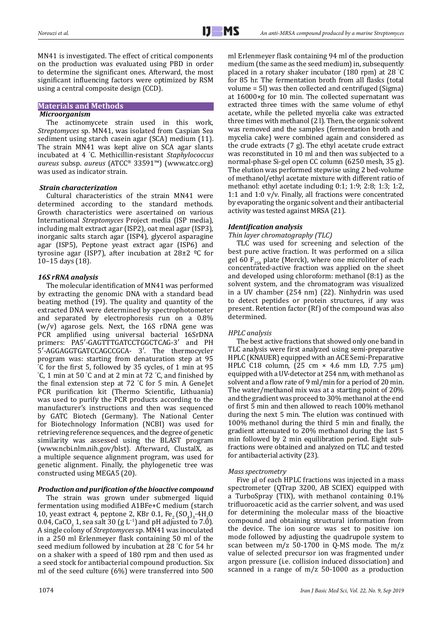MN41 is investigated. The effect of critical components on the production was evaluated using PBD in order to determine the significant ones. Afterward, the most significant influencing factors were optimized by RSM using a central composite design (CCD).

**Materials and Methods**

## *Microorganism*

The actinomycete strain used in this work, *Streptomyces* sp. MN41, was isolated from Caspian Sea sediment using starch casein agar (SCA) medium (11). The strain MN41 was kept alive on SCA agar slants incubated at 4 ° C. Methicillin-resistant *Staphylococcus aureus* subsp. *aureus* (ATCC® 33591™) ([www.atcc.org\)](http://www.atcc.org) was used as indicator strain.

## *Strain characterization*

Cultural characteristics of the strain MN41 were determined according to the standard methods. Growth characteristics were ascertained on various International *Streptomyces* Project media (ISP media), including malt extract agar (ISP2), oat meal agar (ISP3), inorganic salts starch agar (ISP4), glycerol asparagine agar (ISP5), Peptone yeast extract agar (ISP6) and tyrosine agar (ISP7), after incubation at  $28\pm2$  <sup>o</sup>C for 10–15 days (18).

## *16S rRNA analysis*

The molecular identification of MN41 was performed by extracting the genomic DNA with a standard bead beating method (19). The quality and quantity of the extracted DNA were determined by spectrophotometer and separated by electrophoresis run on a 0.8%  $(w/v)$  agarose gels. Next, the 16S rDNA gene was PCR amplified using universal bacterial 16SrDNA primers: PA5′-GAGTTTGATCCTGGCTCAG-3′ and PH 5′-AGGAGGTGATCCAGCCGCA- 3′. The thermocycler program was: starting from denaturation step at 95 ° C for the first 5, followed by 35 cycles, of 1 min at 95 ° C, 1 min at 50 ° C and at 2 min at 72 ° C, and finished by the final extension step at 72 ° C for 5 min. A GeneJet PCR purification kit (Thermo Scientific, Lithuania) was used to purify the PCR products according to the manufacturer's instructions and then was sequenced by GATC Biotech (Germany). The National Center for Biotechnology Information (NCBI) was used for retrieving reference sequences, and the degree of genetic similarity was assessed using the BLAST program (www.ncbi.nlm.nih.gov/blst). Afterward, ClustalX, as a multiple sequence alignment program, was used for genetic alignment. Finally, the phylogenetic tree was constructed using MEGA5 (20).

## *Production and purification of the bioactive compound*

The strain was grown under submerged liquid fermentation using modified A1BFe+C medium (starch 10, yeast extract 4, peptone 2, KBr 0.1, Fe<sub>2</sub> (SO<sub>4</sub>)<sub>3</sub>  $\cdot$ 4H<sub>2</sub>O 0.04, CaCO<sub>3</sub> 1, sea salt 30 (g L<sup>-1</sup>) and pH adjusted to 7.0). A single colony of *Streptomyces* sp. MN41 was inoculated in a 250 ml Erlenmeyer flask containing 50 ml of the seed medium followed by incubation at 28 ° C for 54 hr on a shaker with a speed of 180 rpm and then used as a seed stock for antibacterial compound production. Six ml of the seed culture (6%) were transferred into 500

1074

ml Erlenmeyer flask containing 94 ml of the production medium (the same as the seed medium) in, subsequently placed in a rotary shaker incubator (180 rpm) at 28 ° C for 85 hr. The fermentation broth from all flasks (total volume = 5l) was then collected and centrifuged (Sigma) at 16000×g for 10 min. The collected supernatant was extracted three times with the same volume of ethyl acetate, while the pelleted mycelia cake was extracted three times with methanol (2 l). Then, the organic solvent was removed and the samples (fermentation broth and mycelia cake) were combined again and considered as the crude extracts (7 g). The ethyl acetate crude extract was reconstituted in 10 ml and then was subjected to a normal-phase Si-gel open CC column (6250 mesh, 35 g). The elution was performed stepwise using 2 bed-volume of methanol/ethyl acetate mixture with different ratio of methanol: ethyl acetate including 0:1; 1:9; 2:8; 1:3; 1:2, 1:1 and 1:0 v/v. Finally, all fractions were concentrated by evaporating the organic solvent and their antibacterial activity was tested against MRSA (21).

## *Identification analysis*

## *Thin layer chromatography (TLC)*

TLC was used for screening and selection of the best pure active fraction. It was performed on a silica gel 60  $F_{254}$  plate (Merck), where one microliter of each concentrated-active fraction was applied on the sheet and developed using chloroform: methanol (8:1) as the solvent system, and the chromatogram was visualized in a UV chamber (254 nm) (22). Ninhydrin was used to detect peptides or protein structures, if any was present. Retention factor (Rf) of the compound was also determined.

## *HPLC analysis*

The best active fractions that showed only one band in TLC analysis were first analyzed using semi-preparative HPLC (KNAUER) equipped with an ACE Semi-Preparative HPLC C18 column,  $(25 \text{ cm} \times 4.6 \text{ mm} \text{ l.D. } 7.75 \text{ µm})$ equipped with a UV-detector at 254 nm, with methanol as solvent and a flow rate of 9 ml/min for a period of 20 min. The water/methanol mix was at a starting point of 20% and the gradient was proceed to 30% methanol at the end of first 5 min and then allowed to reach 100% methanol during the next 5 min. The elution was continued with 100% methanol during the third 5 min and finally, the gradient attenuated to 20% methanol during the last 5 min followed by 2 min equilibration period. Eight subfractions were obtained and analyzed on TLC and tested for antibacterial activity (23).

## *Mass spectrometry*

Five µl of each HPLC fractions was injected in a mass spectrometer (QTrap 3200, AB SCIEX) equipped with a TurboSpray (TIX), with methanol containing 0.1% trifluoroacetic acid as the carrier solvent, and was used for determining the molecular mass of the bioactive compound and obtaining structural information from the device. The ion source was set to positive ion mode followed by adjusting the quadrupole system to scan between m/z 50-1700 in Q-MS mode. The m/z value of selected precursor ion was fragmented under argon pressure (i.e. collision induced dissociation) and scanned in a range of m/z 50-1000 as a production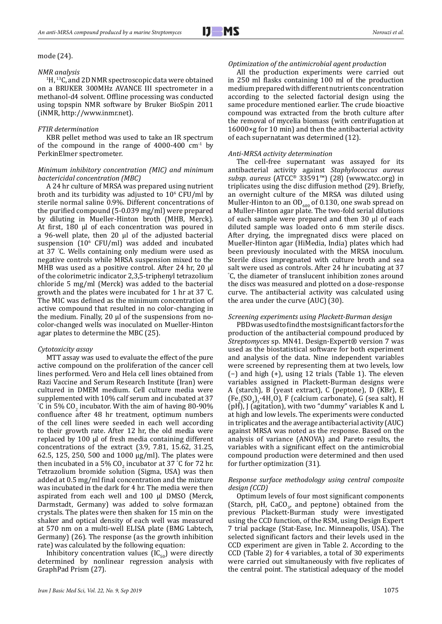#### mode (24).

#### *NMR analysis*

<sup>1</sup>H, <sup>13</sup>C, and 2D NMR spectroscopic data were obtained on a BRUKER 300MHz AVANCE III spectrometer in a methanol-d4 solvent. Offline processing was conducted using topspin NMR software by Bruker BioSpin 2011 (iNMR, [http://www.inmr.net\)](http://www.inmr.net).

#### *FTIR determination*

KBR pellet method was used to take an IR spectrum of the compound in the range of  $4000-400$  cm<sup>-1</sup> by PerkinElmer spectrometer.

#### *Minimum inhibitory concentration (MIC) and minimum bactericidal concentration (MBC)*

A 24 hr culture of MRSA was prepared using nutrient broth and its turbidity was adjusted to  $10^{\circ}$  CFU/ml by sterile normal saline 0.9%. Different concentrations of the purified compound (5-0.039 mg/ml) were prepared by diluting in Mueller-Hinton broth (MHB, Merck). At first, 180 μl of each concentration was poured in a 96-well plate, then 20 μl of the adjusted bacterial suspension  $(10^6 \text{ CFU/ml})$  was added and incubated at 37 ° C. Wells containing only medium were used as negative controls while MRSA suspension mixed to the MHB was used as a positive control. After 24 hr, 20 μl of the colorimetric indicator 2,3,5-triphenyl tetrazolium chloride 5 mg/ml (Merck) was added to the bacterial growth and the plates were incubated for 1 hr at 37 ° C. The MIC was defined as the minimum concentration of active compound that resulted in no color-changing in the medium. Finally, 20 μl of the suspensions from nocolor-changed wells was inoculated on Mueller-Hinton agar plates to determine the MBC (25).

#### *Cytotoxicity assay*

MTT assay was used to evaluate the effect of the pure active compound on the proliferation of the cancer cell lines performed. Vero and Hela cell lines obtained from Razi Vaccine and Serum Research Institute (Iran) were cultured in DMEM medium. Cell culture media were supplemented with 10% calf serum and incubated at 37 °C in 5% CO<sub>2</sub> incubator. With the aim of having 80-90% confluence after 48 hr treatment, optimum numbers of the cell lines were seeded in each well according to their growth rate. After 12 hr, the old media were replaced by 100 µl of fresh media containing different concentrations of the extract (3.9, 7.81, 15.62, 31.25, 62.5, 125, 250, 500 and 1000 µg/ml). The plates were then incubated in a 5%  $CO<sub>2</sub>$  incubator at 37 °C for 72 hr. Tetrazolium bromide solution (Sigma, USA) was then added at 0.5 mg/ml final concentration and the mixture was incubated in the dark for 4 hr. The media were then aspirated from each well and 100 µl DMSO (Merck, Darmstadt, Germany) was added to solve formazan crystals. The plates were then shaken for 15 min on the shaker and optical density of each well was measured at 570 nm on a multi-well ELISA plate (BMG Labtech, Germany) (26). The response (as the growth inhibition rate) was calculated by the following equation:

Inhibitory concentration values  $(IC_{50})$  were directly determined by nonlinear regression analysis with GraphPad Prism (27).

#### *Optimization of the antimicrobial agent production*

All the production experiments were carried out in 250 ml flasks containing 100 ml of the production medium prepared with different nutrients concentration according to the selected factorial design using the same procedure mentioned earlier. The crude bioactive compound was extracted from the broth culture after the removal of mycelia biomass (with centrifugation at 16000×g for 10 min) and then the antibacterial activity of each supernatant was determined (12).

#### *Anti-MRSA activity determination*

The cell-free supernatant was assayed for its antibacterial activity against *Staphylococcus aureus subsp. aureus* (ATCC® 33591™) (28) (www.atcc.org) in triplicates using the disc diffusion method (29). Briefly, an overnight culture of the MRSA was diluted using Muller-Hinton to an  $OD_{600}$  of 0.130, one swab spread on a Muller-Hinton agar plate. The two-fold serial dilutions of each sample were prepared and then 30 µl of each diluted sample was loaded onto 6 mm sterile discs. After drying, the impregnated discs were placed on Mueller-Hinton agar (HiMedia, India) plates which had been previously inoculated with the MRSA inoculum. Sterile discs impregnated with culture broth and sea salt were used as controls. After 24 hr incubating at 37 ° C, the diameter of translucent inhibition zones around the discs was measured and plotted on a dose-response curve. The antibacterial activity was calculated using the area under the curve (AUC) (30).

#### *Screening experiments using Plackett-Burman design*

PBD was used to find the most significant factors for the production of the antibacterial compound produced by *Streptomyces* sp. MN41. Design-Expert® version 7 was used as the biostatistical software for both experiment and analysis of the data. Nine independent variables were screened by representing them at two levels, low (−) and high (+), using 12 trials (Table 1). The eleven variables assigned in Plackett-Burman designs were A (starch), B (yeast extract), C (peptone), D (KBr), E  $(Fe<sub>2</sub>(SO<sub>4</sub>)<sub>3</sub>·4H<sub>2</sub>O)$ , F (calcium carbonate), G (sea salt), H (pH), J (agitation), with two "dummy" variables K and L at high and low levels. The experiments were conducted in triplicates and the average antibacterial activity (AUC) against MRSA was noted as the response. Based on the analysis of variance (ANOVA) and Pareto results, the variables with a significant effect on the antimicrobial compound production were determined and then used for further optimization (31).

#### *Response surface methodology using central composite design (CCD)*

Optimum levels of four most significant components (Starch, pH, CaCO<sub>3</sub>, and peptone) obtained from the previous Plackett-Burman study were investigated using the CCD function, of the RSM, using Design Expert 7 trial package (Stat-Ease, Inc. Minneapolis, USA). The selected significant factors and their levels used in the CCD experiment are given in Table 2. According to the CCD (Table 2) for 4 variables, a total of 30 experiments were carried out simultaneously with five replicates of the central point. The statistical adequacy of the model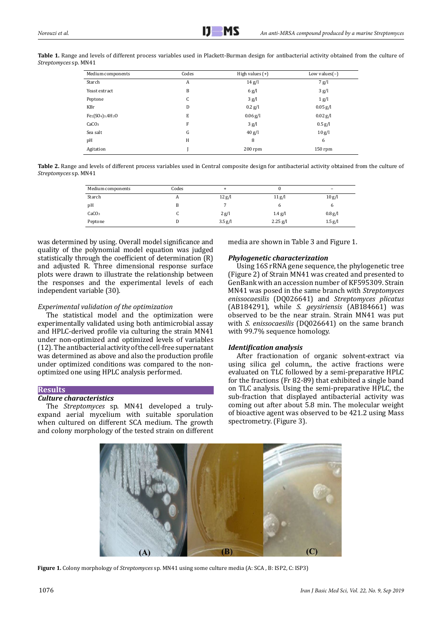| Streptomyces sp. MN41 |                   |       | Table 1. Range and levels of different process variables used in Plackett-Burman design for antibacterial activity obtained from the culture of |                  |  |
|-----------------------|-------------------|-------|-------------------------------------------------------------------------------------------------------------------------------------------------|------------------|--|
|                       | Medium components | Codes | High values $(+)$                                                                                                                               | Low values $(-)$ |  |
|                       | Starch            |       | $14 \text{ g}/l$                                                                                                                                | 7 g/l            |  |

| Medium components                                     | Codes | High values $(+)$ | Low values $(-)$ |  |
|-------------------------------------------------------|-------|-------------------|------------------|--|
| Starch                                                | A     | $14 \text{ g/l}$  | 7 g/l            |  |
| Yeast extract                                         | B     | 6 g/l             | 3 g/l            |  |
| Peptone                                               | C     | 3 g/l             | 1 g/l            |  |
| KBr                                                   | D     | $0.2$ g/l         | $0.05$ g/l       |  |
| Fe2(SO <sub>4</sub> ) <sub>3</sub> .4H <sub>2</sub> O | Е     | $0.06$ g/l        | $0.02$ g/l       |  |
| CaCO <sub>3</sub>                                     | F     | 3 g/l             | $0.5$ g/l        |  |
| Sea salt                                              | G     | $40$ g/l          | 10 g/l           |  |
| pH                                                    | H     | 8                 | 6                |  |
| Agitation                                             |       | $200$ rpm         | $150$ rpm        |  |

**Table 2.** Range and levels of different process variables used in Central composite design for antibacterial activity obtained from the culture of *Streptomyces* sp. MN41

| Medium components | Codes |           |                    | -         |
|-------------------|-------|-----------|--------------------|-----------|
| Starch            | A     | 12 g/l    | 11 <sub>g</sub> /l | 10 g/l    |
| pH                | В     |           | n                  |           |
| CaCO <sub>3</sub> |       | 2 g/l     | $1.4$ g/l          | $0.8$ g/l |
| Peptone           |       | $3.5$ g/l | $2.25$ g/l         | $1.5$ g/l |

was determined by using. Overall model significance and quality of the polynomial model equation was judged statistically through the coefficient of determination (R) and adjusted R. Three dimensional response surface plots were drawn to illustrate the relationship between the responses and the experimental levels of each independent variable (30).

#### *Experimental validation of the optimization*

The statistical model and the optimization were experimentally validated using both antimicrobial assay and HPLC-derived profile via culturing the strain MN41 under non-optimized and optimized levels of variables (12). The antibacterial activity of the cell-free supernatant was determined as above and also the production profile under optimized conditions was compared to the nonoptimized one using HPLC analysis performed.

#### **Results**

#### *Culture characteristics*

The *Streptomyces* sp. MN41 developed a trulyexpand aerial mycelium with suitable sporulation when cultured on different SCA medium. The growth and colony morphology of the tested strain on different media are shown in Table 3 and Figure 1.

#### *Phylogenetic characterization*

Using 16S rRNA gene sequence, the phylogenetic tree (Figure 2) of Strain MN41 was created and presented to GenBank with an accession number of KF595309. Strain MN41 was posed in the same branch with *Streptomyces enissocaesilis* (DQ026641) and *Streptomyces plicatus* (AB184291), while *S. geysiriensis* (AB184661) was observed to be the near strain. Strain MN41 was put with *S. enissocaesilis* (DQ026641) on the same branch with 99.7% sequence homology.

#### *Identification analysis*

After fractionation of organic solvent-extract via using silica gel column,, the active fractions were evaluated on TLC followed by a semi-preparative HPLC for the fractions (Fr 82-89) that exhibited a single band on TLC analysis. Using the semi-preparative HPLC, the sub-fraction that displayed antibacterial activity was coming out after about 5.8 min. The molecular weight of bioactive agent was observed to be 421.2 using Mass spectrometry. (Figure 3).



**Figure 1.** Colony morphology of *Streptomyces* sp. MN41 using some culture media (A: SCA , B: ISP2, C: ISP3)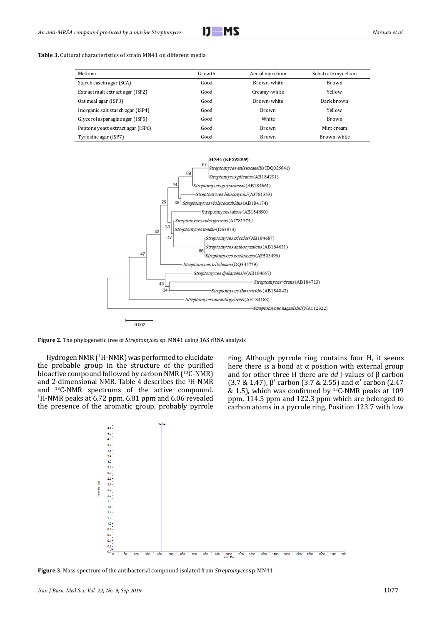#### **Table 3.** Cultural characteristics of strain MN41 on different media

| Medium                            | Growth | Aerial mycelium | Substrate mycelium |
|-----------------------------------|--------|-----------------|--------------------|
| Starch casein agar (SCA)          | Good   | Brown-white     | Brown              |
| Extract malt extract agar (ISP2)  | Good   | Creamy-white    | Yellow             |
| Oat meal agar (ISP3)              | Good   | Brown-white     | Dark brown         |
| Inorganic salt starch agar (ISP4) | Good   | Brown           | Yellow             |
| Glycerol asparagine agar (ISP5)   | Good   | White           | Brown              |
| Peptone yeast extract agar (ISP6) | Good   | <b>Brown</b>    | Mint cream         |
| Tyrosine agar (ISP7)              | Good   | <b>Brown</b>    | Brown-white        |



**Figure 2.** The phylogenetic tree of *Streptomyces* sp. MN41 using 16S rRNA analysis

Hydrogen NMR (<sup>1</sup> H-NMR) was performed to elucidate the probable group in the structure of the purified bioactive compound followed by carbon NMR (<sup>13</sup>C-NMR) and 2-dimensional NMR. Table 4 describes the <sup>1</sup> H-NMR and <sup>13</sup>C-NMR spectrums of the active compound.<br><sup>1</sup>H-NMR peaks at 6.72 ppm, 6.81 ppm and 6.06 revealed the presence of the aromatic group, probably pyrrole

ring. Although pyrrole ring contains four H, it seems here there is a bond at  $\alpha$  position with external group and for other three H there are *dd* J-values of β carbon (3.7 & 1.47), β′ carbon (3.7 & 2.55) and α′ carbon (2.47 & 1.5), which was confirmed by  $^{13}$ C-NMR peaks at 109 ppm, 114.5 ppm and 122.3 ppm which are belonged to carbon atoms in a pyrrole ring. Position 123.7 with low



**Figure 3.** Mass spectrum of the antibacterial compound isolated from *Streptomyces* sp. MN41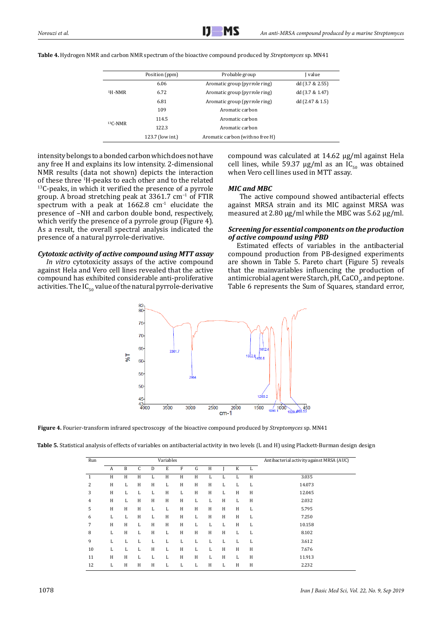|           | Position (ppm)   | Probable group                   | I value            |
|-----------|------------------|----------------------------------|--------------------|
|           | 6.06             | Aromatic group (pyrrole ring)    | dd (3.7 & 2.55)    |
| $1H-NMR$  | 6.72             | Aromatic group (pyrrole ring)    | dd (3.7 & 1.47)    |
|           | 6.81             | Aromatic group (pyrrole ring)    | dd $(2.47 \& 1.5)$ |
|           | 109              | Aromatic carbon                  |                    |
|           | 114.5            | Aromatic carbon                  |                    |
| $13C-NMR$ | 122.3            | Aromatic carbon                  |                    |
|           | 123.7 (low int.) | Aromatic carbon (with no free H) |                    |
|           |                  |                                  |                    |

**Table 4.** Hydrogen NMR and carbon NMR spectrum of the bioactive compound produced by *Streptomyces* sp. MN41

intensity belongs to a bonded carbon which does not have any free H and explains its low intensity. 2-dimensional NMR results (data not shown) depicts the interaction of these three <sup>1</sup>H-peaks to each other and to the related  $<sup>13</sup>C$ -peaks, in which it verified the presence of a pyrrole</sup> group. A broad stretching peak at 3361.7 cm−1 of FTIR spectrum with a peak at  $1662.8$  cm<sup>-1</sup> elucidate the presence of –NH and carbon double bond, respectively, which verify the presence of a pyrrole group (Figure 4). As a result, the overall spectral analysis indicated the presence of a natural pyrrole-derivative.

#### *Cytotoxic activity of active compound using MTT assay*

*In vitro* cytotoxicity assays of the active compound against Hela and Vero cell lines revealed that the active compound has exhibited considerable anti-proliferative activities. The  $IC_{50}$  value of the natural pyrrole-derivative compound was calculated at 14.62 µg/ml against Hela cell lines, while 59.37  $\mu$ g/ml as an IC<sub>50</sub> was obtained when Vero cell lines used in MTT assay.

#### *MIC and MBC*

 The active compound showed antibacterial effects against MRSA strain and its MIC against MRSA was measured at 2.80 µg/ml while the MBC was 5.62 µg/ml.

#### *Screening for essential components on the production of active compound using PBD*

Estimated effects of variables in the antibacterial compound production from PB-designed experiments are shown in Table 5. Pareto chart (Figure 5) reveals that the mainvariables influencing the production of antimicrobial agent were Starch, pH, CaCO<sub>3</sub>, and peptone. Table 6 represents the Sum of Squares, standard error,



**Figure 4.** Fourier-transform infrared spectroscopy of the bioactive compound produced by *Streptomyces* sp. MN41

| Table 5. Statistical analysis of effects of variables on antibacterial activity in two levels (L and H) using Plackett-Burman design design |  |
|---------------------------------------------------------------------------------------------------------------------------------------------|--|
|---------------------------------------------------------------------------------------------------------------------------------------------|--|

| Run          |              | Variables |   |   |   |   | Antibacterial activity against MRSA (AUC) |   |   |   |   |        |
|--------------|--------------|-----------|---|---|---|---|-------------------------------------------|---|---|---|---|--------|
|              | $\mathbf{A}$ | B         | C | D | E | F | G                                         | Η |   | K | L |        |
| $\mathbf{1}$ | H            | H         | H | L | H | H | H                                         | L | L | L | H | 3.035  |
| 2            | H            | L         | H | H | L | H | H                                         | Н | L | L | L | 14.073 |
| 3            | H            | L         | L | L | H | L | H                                         | H | L | H | H | 12.045 |
| 4            | H            | L         | H | H | H | H | L                                         | L | H | L | H | 2.032  |
| 5            | H            | H         | H | L | L | H | H                                         | H | H | H | L | 5.795  |
| 6            | L            | L         | H | L | H | H | L                                         | H | H | H | L | 7.250  |
| 7            | H            | H         | L | H | H | H | L                                         | L | L | H | L | 10.158 |
| 8            | L            | H         | L | H | L | H | H                                         | H | H | L | L | 8.102  |
| 9            | L            | L         | L | L | L | L | L                                         | L | L | L | L | 3.612  |
| 10           | L            | L         | L | H | L | H | L                                         | L | H | H | H | 7.676  |
| 11           | H            | H         | L | L | L | H | H                                         | L | H | L | H | 11.913 |
| 12           | L            | H         | H | H | L | L | L                                         | H | L | H | H | 2.232  |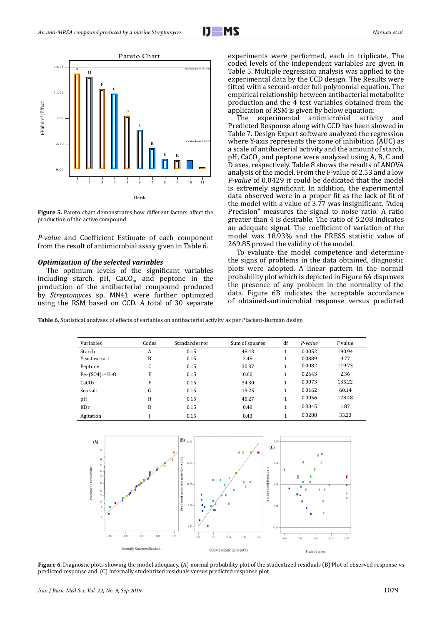

**Figure 5.** Pareto chart demonstrates how different factors affect the production of the active compound

*P-value* and Coefficient Estimate of each component from the result of antimicrobial assay given in Table 6.

#### *Optimization of the selected variables*

The optimum levels of the significant variables including starch,  $pH$ , CaCO<sub>3</sub>, and peptone in the production of the antibacterial compound produced by *Streptomyces* sp. MN41 were further optimized using the RSM based on CCD. A total of 30 separate

experiments were performed, each in triplicate. The coded levels of the independent variables are given in Table 5. Multiple regression analysis was applied to the experimental data by the CCD design. The Results were fitted with a second-order full polynomial equation. The empirical relationship between antibacterial metabolite production and the  $\hat{4}$  test variables obtained from the application of RSM is given by below equation:<br>The experimental antimicrobial activity and

The experimental antimicrobial Predicted Response along with CCD has been showed in Table 7. Design Expert software analyzed the regression where Y-axis represents the zone of inhibition (AUC) as a scale of antibacterial activity and the amount of starch, pH, CaCO<sub>3</sub> and peptone were analyzed using A, B, C and D axes, respectively. Table 8 shows the results of ANOVA analysis of the model. From the F-value of 2.53 and a low *P-value* of 0.0429 it could be dedicated that the model is extremely significant. In addition, the experimental data observed were in a proper fit as the lack of fit of the model with a value of 3.77 was insignificant. "Adeq Precision" measures the signal to noise ratio. A ratio greater than 4 is desirable. The ratio of 5.208 indicates an adequate signal. The coefficient of variation of the model was 18.93% and the PRESS statistic value of 269.85 proved the validity of the model.

To evaluate the model competence and determine the signs of problems in the data obtained, diagnostic plots were adopted. A linear pattern in the normal probability plot which is depicted in Figure 6A disproves the presence of any problem in the normality of the data. Figure 6B indicates the acceptable accordance of obtained-antimicrobial response versus predicted

**Table 6.** Statistical analyses of effects of variables on antibacterial activity as per Plackett-Burman design

| Variables                       | Codes | Standard error | Sum of squares | df | P-value | F value |
|---------------------------------|-------|----------------|----------------|----|---------|---------|
| Starch                          | A     | 0.15           | 48.43          |    | 0.0052  | 190.94  |
| Yeast extract                   | B     | 0.15           | 2.48           | 1  | 0.0889  | 9.77    |
| Peptone                         | C     | 0.15           | 30.37          | 1  | 0.0082  | 119.73  |
| $Fe2 (SO4)3$ .4H <sub>2</sub> O | E     | 0.15           | 0.60           | 1  | 0.2643  | 2.36    |
| CaCO <sub>3</sub>               | F     | 0.15           | 34.30          | 1  | 0.0073  | 135.22  |
| Sea salt                        | G     | 0.15           | 15.25          | 1  | 0.0162  | 60.14   |
| pH                              | H     | 0.15           | 45.27          | 1  | 0.0056  | 178.48  |
| KBr                             | D     | 0.15           | 0.48           | 1  | 0.3045  | 1.87    |
| Agitation                       |       | 0.15           | 8.43           |    | 0.0288  | 33.23   |



**Figure 6.** Diagnostic plots showing the model adequacy. (A) normal probability plot of the studentized residuals (B) Plot of observed response vs predicted response and. (C) Internally studentized residuals versus predicted response plot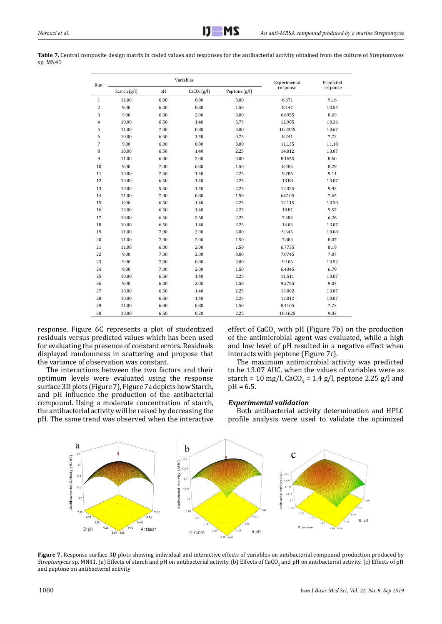Table 7. Central composite design matrix in coded values and responses for the antibacterial activity obtained from the culture of Streptomyces sp. MN41

| Run            |       | Variables | Experimental            | Predicted     |          |          |
|----------------|-------|-----------|-------------------------|---------------|----------|----------|
| Starch $(g/l)$ |       | pH        | CaCO <sub>3</sub> (g/l) | Peptone (g/l) | response | response |
| $1\,$          | 11.00 | 6.00      | 0.80                    | 3.00          | 6.671    | 9.16     |
| $\overline{c}$ | 9.00  | 6.00      | 0.80                    | 1.50          | 8.147    | 10.54    |
| 3              | 9.00  | 6.00      | 2.00                    | 3.00          | 6.6955   | 8.69     |
| 4              | 10.00 | 6.50      | 1.40                    | 3.75          | 12.905   | 10.36    |
| 5              | 11.00 | 7.00      | 0.80                    | 3.00          | 10.2345  | 10.67    |
| 6              | 10.00 | 6.50      | 1.40                    | 0.75          | 8.241    | 7.72     |
| 7              | 9.00  | 6.00      | 0.80                    | 3.00          | 11.135   | 11.18    |
| 8              | 10.00 | 6.50      | 1.40                    | 2.25          | 14.012   | 13.07    |
| 9              | 11.00 | 6.00      | 2.00                    | 3.00          | 8.1655   | 8.60     |
| 10             | 9.00  | 7.00      | 0.80                    | 1.50          | 8.485    | 8.29     |
| 11             | 10.00 | 7.50      | 1.40                    | 2.25          | 9.786    | 9.14     |
| 12             | 10.00 | 6.50      | 1.40                    | 2.25          | 13.88    | 13.07    |
| 13             | 10.00 | 5.50      | 1.40                    | 2.25          | 12.325   | 9.92     |
| 14             | 11.00 | 7.00      | 0.80                    | 1.50          | 6.8105   | 7.65     |
| 15             | 8.00  | 6.50      | 1.40                    | 2.25          | 12.115   | 10.30    |
| 16             | 12.00 | 6.50      | 1.40                    | 2.25          | 10.81    | 9.57     |
| 17             | 10.00 | 6.50      | 2.60                    | 2.25          | 7.484    | 6.26     |
| 18             | 10.00 | 6.50      | 1.40                    | 2.25          | 14.03    | 13.07    |
| 19             | 11.00 | 7.00      | 2.00                    | 3.00          | 9.645    | 10.08    |
| 20             | 11.00 | 7.00      | 2.00                    | 1.50          | 7.883    | 8.07     |
| 21             | 11.00 | 6.00      | 2.00                    | 1.50          | 6.7735   | 8.19     |
| 22             | 9.00  | 7.00      | 2.00                    | 3.00          | 7.0745   | 7.07     |
| 23             | 9.00  | 7.00      | 0.80                    | 3.00          | 9.106    | 10.52    |
| 24             | 9.00  | 7.00      | 2.00                    | 1.50          | 6.4345   | 6.78     |
| 25             | 10.00 | 6.50      | 1.40                    | 2.25          | 11.511   | 13.07    |
| 26             | 9.00  | 6.00      | 2.00                    | 1.50          | 9.2755   | 9.07     |
| 27             | 10.00 | 6.50      | 1.40                    | 2.25          | 13.002   | 13.07    |
| 28             | 10.00 | 6.50      | 1.40                    | 2.25          | 12.012   | 13.07    |
| 29             | 11.00 | 6.00      | 0.80                    | 1.50          | 8.4105   | 7.73     |
| 30             | 10.00 | 6.50      | 0.20                    | 2.25          | 10.1625  | 9.33     |

response. Figure 6C represents a plot of studentized residuals versus predicted values which has been used for evaluating the presence of constant errors. Residuals displayed randomness in scattering and propose that the variance of observation was constant.

The interactions between the two factors and their optimum levels were evaluated using the response surface 3D plots (Figure 7), Figure 7a depicts how Starch, and pH influence the production of the antibacterial compound. Using a moderate concentration of starch, the antibacterial activity will be raised by decreasing the pH. The same trend was observed when the interactive

effect of  $CaCO<sub>3</sub>$  with pH (Figure 7b) on the production of the antimicrobial agent was evaluated, while a high and low level of pH resulted in a negative effect when interacts with peptone (Figure 7c).

The maximum antimicrobial activity was predicted to be 13.07 AUC, when the values of variables were as starch = 10 mg/l, CaCO<sub>3</sub> = 1.4 g/l, peptone 2.25 g/l and pH = 6.5.

#### *Experimental validation*

Both antibacterial activity determination and HPLC profile analysis were used to validate the optimized



Figure 7. Response surface 3D plots showing individual and interactive effects of variables on antibacterial compound production produced by *Streptomyces* sp. MN41. (a) Effects of starch and pH on antibacterial activity. (b) Effects of CaCO<sub>3</sub> and pH on antibacterial activity. (c) Effects of pH and peptone on antibacterial activity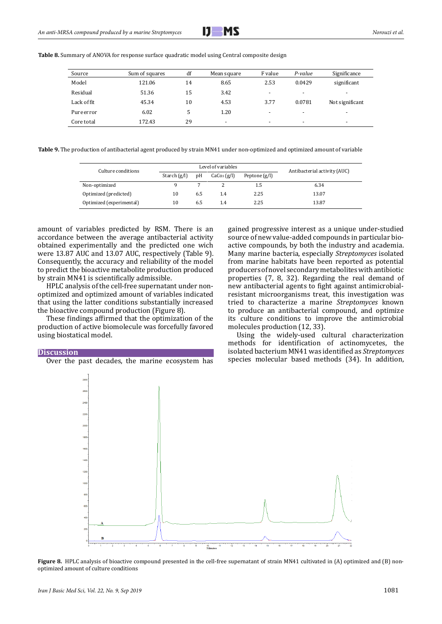

**Table 8.** Summary of ANOVA for response surface quadratic model using Central composite design

| Source      | Sum of squares | df | Mean square              | F value                  | P-value                  | Significance             |
|-------------|----------------|----|--------------------------|--------------------------|--------------------------|--------------------------|
| Model       | 121.06         | 14 | 8.65                     | 2.53                     | 0.0429                   | significant              |
| Residual    | 51.36          | 15 | 3.42                     | $\overline{\phantom{a}}$ | $\overline{\phantom{a}}$ | $\overline{\phantom{a}}$ |
| Lack of fit | 45.34          | 10 | 4.53                     | 3.77                     | 0.0781                   | Not significant          |
| Pure error  | 6.02           | 5  | 1.20                     | $\overline{\phantom{a}}$ | $\overline{\phantom{a}}$ | $\overline{\phantom{0}}$ |
| Core total  | 172.43         | 29 | $\overline{\phantom{a}}$ | $\overline{\phantom{a}}$ | $\overline{\phantom{a}}$ | $\overline{\phantom{a}}$ |

**Table 9.** The production of antibacterial agent produced by strain MN41 under non-optimized and optimized amount of variable

| Culture conditions       |                |     | Level of variables      | Antibacterial activity (AUC) |       |
|--------------------------|----------------|-----|-------------------------|------------------------------|-------|
|                          | Starch $(g/l)$ | pΗ  | CaCo <sub>3</sub> (g/l) | Peptone $(g/l)$              |       |
| Non-optimized            |                |     |                         | $1.5\,$                      | 6.34  |
| Optimized (predicted)    | 10             | 6.5 | 1.4                     | 2.25                         | 13.07 |
| Optimized (experimental) | 10             | 6.5 | 1.4                     | 2.25                         | 13.87 |

amount of variables predicted by RSM. There is an accordance between the average antibacterial activity obtained experimentally and the predicted one wich were 13.87 AUC and 13.07 AUC, respectively (Table 9). Consequently, the accuracy and reliability of the model to predict the bioactive metabolite production produced by strain MN41 is scientifically admissible.

HPLC analysis of the cell-free supernatant under nonoptimized and optimized amount of variables indicated that using the latter conditions substantially increased the bioactive compound production (Figure 8).

These findings affirmed that the optimization of the production of active biomolecule was forcefully favored using biostatical model.

#### **Discussion**

Over the past decades, the marine ecosystem has

gained progressive interest as a unique under-studied source of new value-added compounds in particular bioactive compounds, by both the industry and academia. Many marine bacteria, especially *Streptomyces* isolated from marine habitats have been reported as potential producers of novel secondary metabolites with antibiotic properties (7, 8, 32). Regarding the real demand of new antibacterial agents to fight against antimicrobialresistant microorganisms treat, this investigation was tried to characterize a marine *Streptomyces* known to produce an antibacterial compound, and optimize its culture conditions to improve the antimicrobial molecules production (12, 33).

Using the widely-used cultural characterization methods for identification of actinomycetes, the isolated bacterium MN41 was identified as *Streptomyces* species molecular based methods (34). In addition,



**Figure 8.** HPLC analysis of bioactive compound presented in the cell-free supernatant of strain MN41 cultivated in (A) optimized and (B) nonoptimized amount of culture conditions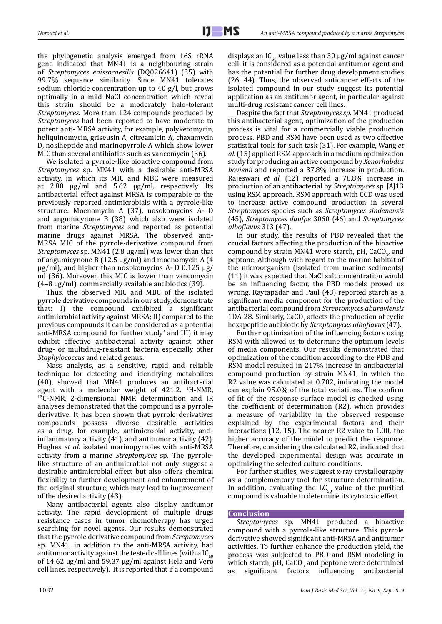the phylogenetic analysis emerged from 16S rRNA gene indicated that MN41 is a neighbouring strain of *Streptomyces enissocaesilis* (DQ026641) (35) with 99.7% sequence similarity. Since MN41 tolerates sodium chloride concentration up to 40 g/l, but grows optimally in a mild NaCl concentration which reveal this strain should be a moderately halo-tolerant *Streptomyces*. More than 124 compounds produced by *Streptomyces* had been reported to have moderate to potent anti- MRSA activity, for example, polyketomycin, heliquinomycin, griseusin A, citreamicin A, chaxamycin D, nosiheptide and marinopyrrole A which show lower MIC than several antibiotics such as vancomycin (36).

We isolated a pyrrole-like bioactive compound from *Streptomyces* sp. MN41 with a desirable anti-MRSA activity, in which its MIC and MBC were measured at 2.80 µg/ml and 5.62 µg/ml, respectively. Its antibacterial effect against MRSA is comparable to the previously reported antimicrobials with a pyrrole-like structure: Moenomycin A (37), nosokomycins A- D and angumicynone B (38) which also were isolated from marine *Streptomyces* and reported as potential marine drugs against MRSA. The observed anti-MRSA MIC of the pyrrole-derivative compound from *Streptomyces* sp. MN41 (2.8 μg/ml) was lower than that of angumicynone B (12.5 μg/ml) and moenomycin A (4 μg/ml), and higher than nosokomycins A- D 0.125 μg/ ml (36). Moreover, this MIC is lower than vancomycin (4–8 μg/ml), commercially available antibiotics (39).

Thus, the observed MIC and MBC of the isolated pyrrole derivative compounds in our study, demonstrate that: I) the compound exhibited a significant antimicrobial activity against MRSA; II) compared to the previous compounds it can be considered as a potential anti-MRSA compound for further study' and III) it may exhibit effective antibacterial activity against other drug- or multidrug-resistant bacteria especially other *Staphylococcus* and related genus.

Mass analysis, as a sensitive, rapid and reliable technique for detecting and identifying metabolites (40), showed that MN41 produces an antibacterial agent with a molecular weight of  $421.2$ .  $^1$ H-NMR,  $^{13}$ C-NMR, 2-dimensional NMR determination and IR analyses demonstrated that the compound is a pyrrolederivative. It has been shown that pyrrole derivatives compounds possess diverse desirable activities as a drug, for example, antimicrobial activity, antiinflammatory activity (41), and antitumor activity (42). Hughes *et al.* isolated marinopyrroles with anti-MRSA activity from a marine *Streptomyces* sp. The pyrrolelike structure of an antimicrobial not only suggest a desirable antimicrobial effect but also offers chemical flexibility to further development and enhancement of the original structure, which may lead to improvement of the desired activity (43).

Many antibacterial agents also display antitumor activity. The rapid development of multiple drugs resistance cases in tumor chemotherapy has urged searching for novel agents. Our results demonstrated that the pyrrole derivative compound from *Streptomyces* sp. MN41, in addition to the anti-MRSA activity, had antitumor activity against the tested cell lines (with a  $IC_{50}$ of 14.62  $\mu$ g/ml and 59.37  $\mu$ g/ml against Hela and Vero cell lines, respectively). It is reported that if a compound displays an IC<sub>50</sub> value less than 30  $\mu$ g/ml against cancer cell, it is considered as a potential antitumor agent and has the potential for further drug development studies (26, 44). Thus, the observed anticancer effects of the isolated compound in our study suggest its potential application as an antitumor agent, in particular against multi-drug resistant cancer cell lines.

Despite the fact that *Streptomyces sp.* MN41 produced this antibacterial agent, optimization of the production process is vital for a commercially viable production process. PBD and RSM have been used as two effective statistical tools for such task (31). For example, Wang *et al.* (15) applied RSM approach in a medium optimization study for producing an active compound by *Xenorhabdus bovienii* and reported a 37.8% increase in production. Rajeswari *et al.* (12) reported a 78.8% increase in production of an antibacterial by *Streptomyces* sp*.* JAJ13 using RSM approach. RSM approach with CCD was used to increase active compound production in several *Streptomyces* species such as *Streptomyces sindenensis* (45), *Streptomyces daufpe* 3060 (46) and *Streptomyces alboflavus* 313 (47).

In our study, the results of PBD revealed that the crucial factors affecting the production of the bioactive compound by strain MN41 were starch, pH,  $CaCO<sub>3</sub>$ , and peptone. Although with regard to the marine habitat of the microorganism (isolated from marine sediments) (11) it was expected that NaCl salt concentration would be an influencing factor, the PBD models proved us wrong. Raytapadar and Paul (48) reported starch as a significant media component for the production of the antibacterial compound from *Streptomyces aburaviensis*  $1DA-28$ . Similarly, CaCO<sub>3</sub> affects the production of cyclic hexapeptide antibiotic by *Streptomyces alboflavus* (47).

Further optimization of the influencing factors using RSM with allowed us to determine the optimum levels of media components. Our results demonstrated that optimization of the condition according to the PDB and RSM model resulted in 217% increase in antibacterial compound production by strain MN41, in which the R2 value was calculated at 0.702, indicating the model can explain 95.0% of the total variations. The confirm of fit of the response surface model is checked using the coefficient of determination (R2), which provides a measure of variability in the observed response explained by the experimental factors and their interactions (12, 15). The nearer R2 value to 1.00, the higher accuracy of the model to predict the responce. Therefore, considering the calculated R2, indicated that the developed experimental design was accurate in optimizing the selected culture conditions.

For further studies, we suggest x-ray crystallography as a complementary tool for structure determination. In addition, evaluating the  $LC_{50}$  value of the purified compound is valuable to determine its cytotoxic effect.

#### **Conclusion**

*Streptomyces* sp. MN41 produced a bioactive compound with a pyrrole-like structure. This pyrrole derivative showed significant anti-MRSA and antitumor activities. To further enhance the production yield, the process was subjected to PBD and RSM modeling in which starch, pH,  $CaCO<sub>3</sub>$  and peptone were determined as significant factors influencing antibacterial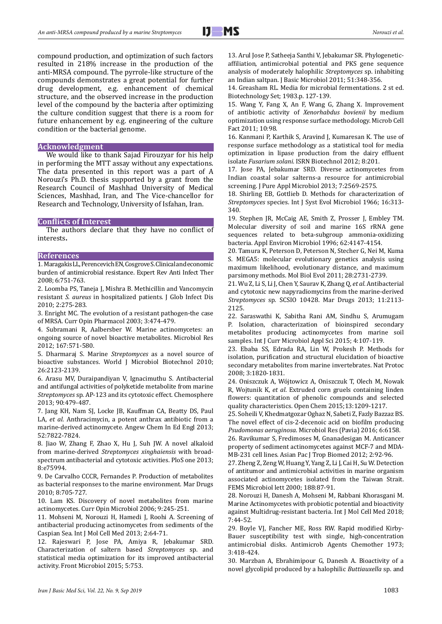compound production, and optimization of such factors resulted in 218% increase in the production of the anti-MRSA compound. The pyrrole-like structure of the compounds demonstrates a great potential for further drug development, e.g. enhancement of chemical structure, and the observed increase in the production level of the compound by the bacteria after optimizing the culture condition suggest that there is a room for future enhancement by e.g. engineering of the culture condition or the bacterial genome.

#### **Acknowledgment**

We would like to thank Sajad Firouzyar for his help in performing the MTT assay without any expectations. The data presented in this report was a part of A Norouzi's Ph.D. thesis supported by a grant from the Research Council of Mashhad University of Medical Sciences, Mashhad, Iran, and The Vice-chancellor for Research and Technology, University of Isfahan, Iran.

#### **Conflicts of Interest**

The authors declare that they have no conflict of interests**.** 

#### **References**

1. Maragakis LL, Perencevich EN, Cosgrove S. Clinical and economic burden of antimicrobial resistance. [Expert](https://www.ncbi.nlm.nih.gov/pubmed/30876375) Rev Anti Infect Ther 2008; 6:751-763.

2. Loomba PS, Taneja J, Mishra B. Methicillin and Vancomycin resistant *S. aureus* in hospitalized patients. J Glob Infect Dis 2010; 2:275-283.

3. Enright MC. The evolution of a resistant pathogen-the case of MRSA. Curr Opin Pharmacol 2003; 3:474-479.

4. Subramani R, Aalbersber W. Marine actinomycetes: an ongoing source of novel bioactive metabolites. Microbiol Res 2012; 167:571-580.

5. Dharmaraj S. Marine *Streptomyces* as a novel source of bioactive substances. World J Microbiol Biotechnol 2010; 26:2123-2139.

6. Arasu MV, Duraipandiyan V, Ignacimuthu S. Antibacterial and antifungal activities of polyketide metabolite from marine *Streptomyces* sp*.* AP-123 and its cytotoxic effect. Chemosphere 2013; 90:479-487.

7. Jang KH, Nam SJ, Locke JB, Kauffman CA, Beatty DS, Paul LA, *et al*. Anthracimycin, a potent anthrax antibiotic from a marine-derived actinomycete*.* Angew Chem In Ed Engl 2013; 52:7822-7824.

8. Jiao W, Zhang F, Zhao X, Hu J, Suh JW. A novel alkaloid from marine-derived *Streptomyces xinghaiensis* with broadspectrum antibacterial and cytotoxic activities. PloS one 2013; 8:e75994.

9. De Carvalho CCCR, Fernandes P. Production of metabolites as bacterial responses to the marine environment. [Mar Drugs](https://www.ncbi.nlm.nih.gov/pmc/articles/PMC2857360/) 2010; 8:705-727.

10. Lam KS. Discovery of novel metabolites from marine actinomycetes. Curr Opin Microbiol 2006; 9:245-251.

11. Mohseni M, Norouzi H, Hamedi J, Roohi A. Screening of antibacterial producing actinomycetes from sediments of the Caspian Sea. [Int J Mol Cell Med](https://www.ncbi.nlm.nih.gov/pubmed/24551793) 2013; 2:64-71.

12. Rajeswari P, Jose PA, Amiya R, Jebakumar SRD. Characterization of saltern based *Streptomyces* sp. and statistical media optimization for its improved antibacterial activity. Front Microbiol 2015; 5:753.

13. Arul Jose P, Satheeja Santhi V, Jebakumar SR. Phylogeneticaffiliation, antimicrobial potential and PKS gene sequence analysis of moderately halophilic *Streptomyces* sp. inhabiting an Indian saltpan. J Basic Microbiol 2011; 51:348-356.

14. Greasham RL. Media for microbial fermentations. 2 st ed. Biotechnology Set; 1983.p. 127-139.

15. Wang Y, Fang X, An F, Wang G, Zhang X. Improvement of antibiotic activity of *Xenorhabdus bovienii* by medium optimization using response surface methodology. Microb Cell Fact 2011; 10:98.

16. Kanmani P, Karthik S, Aravind J, Kumaresan K. The use of response surface methodology as a statistical tool for media optimization in lipase production from the dairy effluent isolate *Fusarium solani*. ISRN Biotechnol 2012; 8:201.

17. Jose PA, Jebakumar SRD. Diverse actinomycetes from Indian coastal solar salterns-a resource for antimicrobial screening. J Pure Appl Microbiol 2013; 7:2569-2575.

18. Shirling EB, Gottlieb D. Methods for characterization of *Streptomyces* species. Int J Syst Evol Microbiol 1966; 16:313- 340.

19. Stephen JR, McCaig AE, Smith Z, Prosser J, Embley TM. Molecular diversity of soil and marine 16S rRNA gene sequences related to beta-subgroup ammonia-oxidizing bacteria. Appl Environ Microbiol 1996; 62:4147-4154.

20. Tamura K, Peterson D, Peterson N, Stecher G, Nei M, Kuma S. MEGA5: molecular evolutionary genetics analysis using maximum likelihood, evolutionary distance, and maximum parsimony methods. Mol Biol Evol 2011; 28:2731-2739.

21. Wu Z, Li S, Li J, Chen Y, Saurav K, Zhang Q, *et al*. Antibacterial and cytotoxic new napyradiomycins from the marine-derived *Streptomyces* sp*.* SCSIO 10428. [Mar Drugs](https://www.ncbi.nlm.nih.gov/pmc/articles/PMC2857360/) 2013; 11:2113- 2125.

22. Saraswathi K, Sabitha Rani AM, Sindhu S, Arumugam P. Isolation, characterization of bioinspired secondary metabolites producing actinomycetes from marine soil samples. Int J Curr Microbiol Appl Sci 2015; 4:107-119.

23. Ebaba SS, Edrada RA, Lin W, Prokesh P. Methods for isolation, purification and structural elucidation of bioactive secondary metabolites from marine invertebrates. [Nat Protoc](https://www.ncbi.nlm.nih.gov/pubmed/18989260) 2008; 3:1820-1831.

24. Oniszczuk A, Wójtowicz A, Oniszczuk T, Olech M, Nowak R, Wojtunik K, *et al*. Extruded corn gruels containing linden flowers: quantitation of phenolic compounds and selected quality characteristics. Open Chem 2015;13:1209-1217.

25. Soheili V, Khedmatgozar Oghaz N, Sabeti Z, Fazly Bazzaz BS. The novel effect of cis-2-decenoic acid on biofilm producing *Psudomonas aeruginosa*. Microbiol Res (Pavia) 2016; 6:6158. 26. Ravikumar S, Fredimoses M, Gnanadesigan M. Anticancer property of sediment actinomycetes against MCF-7 and MDA-MB-231 cell lines. Asian Pac J Trop Biomed 2012; 2:92-96.

27. Zheng Z, Zeng W, Huang Y, Yang Z, Li J, Cai H, Su [W.](https://www.ncbi.nlm.nih.gov/pubmed/?term=Su%20W%5BAuthor%5D&cauthor=true&cauthor_uid=10867239) Detection of antitumor and antimicrobial activities in marine organism associated actinomycetes isolated from the Taiwan Strait. FEMS Microbiol lett 2000; 188:87-91.

28. Norouzi H, Danesh A, Mohseni M, Rabbani Khorasgani M. Marine Actinomycetes with probiotic potential and bioactivity against Multidrug-resistant bacteria. Int J Mol Cell Med 2018; 7:44-52.

29. Boyle VJ, Fancher ME, Ross RW. Rapid modified Kirby-Bauer susceptibility test with single, high-concentration antimicrobial disks. Antimicrob Agents Chemother 1973; 3:418-424.

30. Marzban A, Ebrahimipour G, Danesh A. Bioactivity of a novel glycolipid produced by a halophilic *Buttiauxella* sp. and